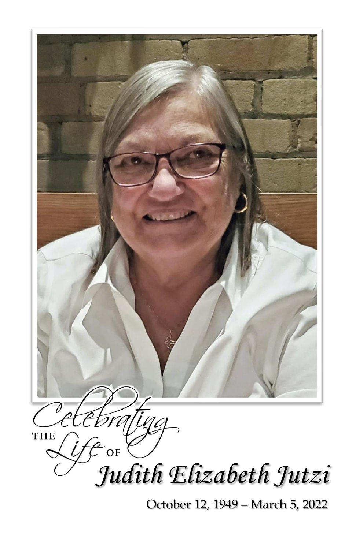

October 12, 1949 – March 5, 2022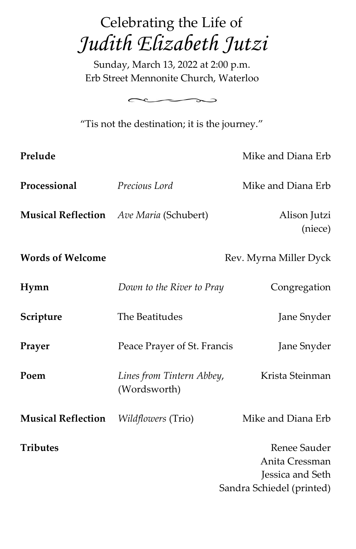## Celebrating the Life of *Judith Elizabeth Jutzi*

Sunday, March 13, 2022 at 2:00 p.m. Erb Street Mennonite Church, Waterloo

"Tis not the destination; it is the journey."

 $\sim$ 

| Prelude                   |                                           | Mike and Diana Erb                                                              |
|---------------------------|-------------------------------------------|---------------------------------------------------------------------------------|
| Processional              | Precious Lord                             | Mike and Diana Erb                                                              |
|                           | Musical Reflection Ave Maria (Schubert)   | Alison Jutzi<br>(niece)                                                         |
| <b>Words of Welcome</b>   |                                           | Rev. Myrna Miller Dyck                                                          |
| Hymn                      | Down to the River to Pray                 | Congregation                                                                    |
| Scripture                 | The Beatitudes                            | Jane Snyder                                                                     |
| Prayer                    | Peace Prayer of St. Francis               | Jane Snyder                                                                     |
| Poem                      | Lines from Tintern Abbey,<br>(Wordsworth) | Krista Steinman                                                                 |
| <b>Musical Reflection</b> | <i>Wildflowers</i> (Trio)                 | Mike and Diana Erb                                                              |
| <b>Tributes</b>           |                                           | Renee Sauder<br>Anita Cressman<br>Jessica and Seth<br>Sandra Schiedel (printed) |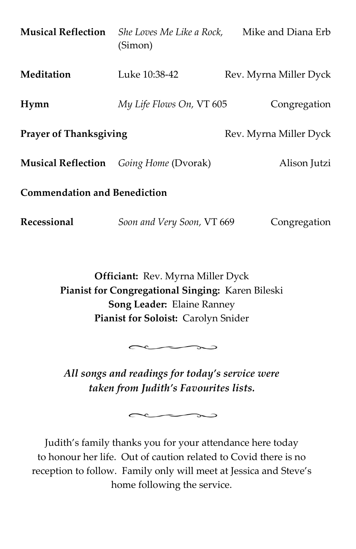| <b>Musical Reflection</b>           | She Loves Me Like a Rock,<br>(Simon)          | Mike and Diana Erb     |  |
|-------------------------------------|-----------------------------------------------|------------------------|--|
| Meditation                          | Luke 10:38-42                                 | Rev. Myrna Miller Dyck |  |
| Hymn                                | My Life Flows On, VT 605                      | Congregation           |  |
| <b>Prayer of Thanksgiving</b>       |                                               | Rev. Myrna Miller Dyck |  |
|                                     | <b>Musical Reflection</b> Going Home (Dvorak) | Alison Jutzi           |  |
| <b>Commendation and Benediction</b> |                                               |                        |  |
| Recessional                         | Soon and Very Soon, VT 669                    | Congregation           |  |

**Officiant:** Rev. Myrna Miller Dyck **Pianist for Congregational Singing:** Karen Bileski **Song Leader:** Elaine Ranney **Pianist for Soloist:** Carolyn Snider

 $\sim$ 

*All songs and readings for today's service were taken from Judith's Favourites lists.*

 $\sim$   $\sim$ 

Judith's family thanks you for your attendance here today to honour her life. Out of caution related to Covid there is no reception to follow. Family only will meet at Jessica and Steve's home following the service.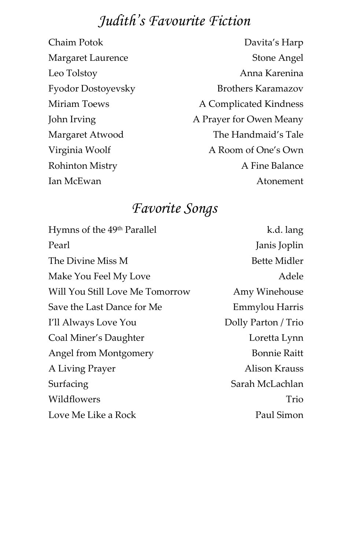#### *Judith's Favourite Fiction*

- 
- Chaim Potok Davita's Harp Margaret Laurence Stone Angel Leo Tolstoy Anna Karenina Fyodor Dostoyevsky Brothers Karamazov Miriam Toews **A Complicated Kindness** John Irving A Prayer for Owen Meany Margaret Atwood The Handmaid's Tale Virginia Woolf **A Room of One's Own** Rohinton Mistry **A** Fine Balance Ian McEwan **Atonement**

#### *Favorite Songs*

| Hymns of the 49 <sup>th</sup> Parallel | k.d. lang            |
|----------------------------------------|----------------------|
| Pearl                                  | Janis Joplin         |
| The Divine Miss M                      | Bette Midler         |
| Make You Feel My Love                  | Adele                |
| Will You Still Love Me Tomorrow        | Amy Winehouse        |
| Save the Last Dance for Me             | Emmylou Harris       |
| I'll Always Love You                   | Dolly Parton / Trio  |
| Coal Miner's Daughter                  | Loretta Lynn         |
| Angel from Montgomery                  | <b>Bonnie Raitt</b>  |
| A Living Prayer                        | <b>Alison Krauss</b> |
| Surfacing                              | Sarah McLachlan      |
| Wildflowers                            | Trio                 |
| Love Me Like a Rock                    | Paul Simon           |
|                                        |                      |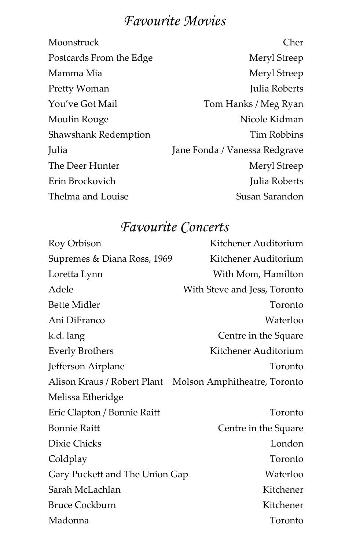#### *Favourite Movies*

| Moonstruck              | Cher                          |
|-------------------------|-------------------------------|
| Postcards From the Edge | Meryl Streep                  |
| Mamma Mia               | Meryl Streep                  |
| Pretty Woman            | Julia Roberts                 |
| You've Got Mail         | Tom Hanks / Meg Ryan          |
| Moulin Rouge            | Nicole Kidman                 |
| Shawshank Redemption    | Tim Robbins                   |
| Julia                   | Jane Fonda / Vanessa Redgrave |
| The Deer Hunter         | Meryl Streep                  |
| Erin Brockovich         | Julia Roberts                 |
| Thelma and Louise       | Susan Sarandon                |

# *Favourite Concerts*

| Roy Orbison                    | Kitchener Auditorium                                     |
|--------------------------------|----------------------------------------------------------|
| Supremes & Diana Ross, 1969    | Kitchener Auditorium                                     |
| Loretta Lynn                   | With Mom, Hamilton                                       |
| Adele                          | With Steve and Jess, Toronto                             |
| <b>Bette Midler</b>            | Toronto                                                  |
| Ani DiFranco                   | Waterloo                                                 |
| k.d. lang                      | Centre in the Square                                     |
| <b>Everly Brothers</b>         | Kitchener Auditorium                                     |
| Jefferson Airplane             | Toronto                                                  |
|                                | Alison Kraus / Robert Plant Molson Amphitheatre, Toronto |
| Melissa Etheridge              |                                                          |
| Eric Clapton / Bonnie Raitt    | Toronto                                                  |
| <b>Bonnie Raitt</b>            | Centre in the Square                                     |
| Dixie Chicks                   | London                                                   |
| Coldplay                       | Toronto                                                  |
| Gary Puckett and The Union Gap | Waterloo                                                 |
| Sarah McLachlan                | Kitchener                                                |
| <b>Bruce Cockburn</b>          | Kitchener                                                |
| Madonna                        | Toronto                                                  |
|                                |                                                          |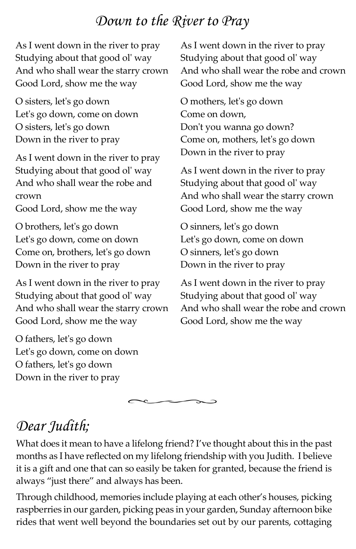#### *Down to the River to Pray*

As I went down in the river to pray Studying about that good ol' way And who shall wear the starry crown Good Lord, show me the way

O sisters, let's go down Let's go down, come on down O sisters, let's go down Down in the river to pray

As I went down in the river to pray Studying about that good ol' way And who shall wear the robe and crown Good Lord, show me the way

O brothers, let's go down Let's go down, come on down Come on, brothers, let's go down Down in the river to pray

As I went down in the river to pray Studying about that good ol' way And who shall wear the starry crown Good Lord, show me the way

O fathers, let's go down Let's go down, come on down O fathers, let's go down Down in the river to pray

As I went down in the river to pray Studying about that good ol' way And who shall wear the robe and crown Good Lord, show me the way

O mothers, let's go down Come on down, Don't you wanna go down? Come on, mothers, let's go down Down in the river to pray

As I went down in the river to pray Studying about that good ol' way And who shall wear the starry crown Good Lord, show me the way

O sinners, let's go down Let's go down, come on down O sinners, let's go down Down in the river to pray

As I went down in the river to pray Studying about that good ol' way And who shall wear the robe and crown Good Lord, show me the way

᠊ᢦ

### *Dear Judith;*

What does it mean to have a lifelong friend? I've thought about this in the past months as I have reflected on my lifelong friendship with you Judith. I believe it is a gift and one that can so easily be taken for granted, because the friend is always "just there" and always has been.

Through childhood, memories include playing at each other's houses, picking raspberries in our garden, picking peas in your garden, Sunday afternoon bike rides that went well beyond the boundaries set out by our parents, cottaging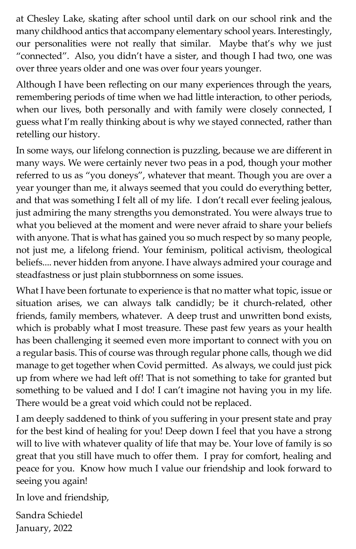at Chesley Lake, skating after school until dark on our school rink and the many childhood antics that accompany elementary school years. Interestingly, our personalities were not really that similar. Maybe that's why we just "connected". Also, you didn't have a sister, and though I had two, one was over three years older and one was over four years younger.

Although I have been reflecting on our many experiences through the years, remembering periods of time when we had little interaction, to other periods, when our lives, both personally and with family were closely connected, I guess what I'm really thinking about is why we stayed connected, rather than retelling our history.

In some ways, our lifelong connection is puzzling, because we are different in many ways. We were certainly never two peas in a pod, though your mother referred to us as "you doneys", whatever that meant. Though you are over a year younger than me, it always seemed that you could do everything better, and that was something I felt all of my life. I don't recall ever feeling jealous, just admiring the many strengths you demonstrated. You were always true to what you believed at the moment and were never afraid to share your beliefs with anyone. That is what has gained you so much respect by so many people, not just me, a lifelong friend. Your feminism, political activism, theological beliefs.... never hidden from anyone. I have always admired your courage and steadfastness or just plain stubbornness on some issues.

What I have been fortunate to experience is that no matter what topic, issue or situation arises, we can always talk candidly; be it church-related, other friends, family members, whatever. A deep trust and unwritten bond exists, which is probably what I most treasure. These past few years as your health has been challenging it seemed even more important to connect with you on a regular basis. This of course was through regular phone calls, though we did manage to get together when Covid permitted. As always, we could just pick up from where we had left off! That is not something to take for granted but something to be valued and I do! I can't imagine not having you in my life. There would be a great void which could not be replaced.

I am deeply saddened to think of you suffering in your present state and pray for the best kind of healing for you! Deep down I feel that you have a strong will to live with whatever quality of life that may be. Your love of family is so great that you still have much to offer them. I pray for comfort, healing and peace for you. Know how much I value our friendship and look forward to seeing you again!

In love and friendship,

Sandra Schiedel January, 2022